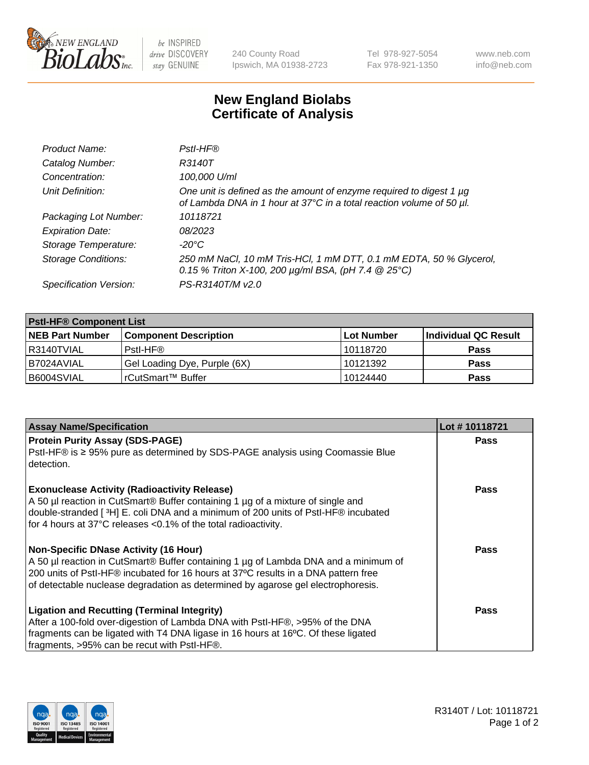

 $be$  INSPIRED drive DISCOVERY stay GENUINE

240 County Road Ipswich, MA 01938-2723 Tel 978-927-5054 Fax 978-921-1350 www.neb.com info@neb.com

## **New England Biolabs Certificate of Analysis**

| Product Name:              | Pstl-HF®                                                                                                                                             |
|----------------------------|------------------------------------------------------------------------------------------------------------------------------------------------------|
| Catalog Number:            | R3140T                                                                                                                                               |
| Concentration:             | 100,000 U/ml                                                                                                                                         |
| Unit Definition:           | One unit is defined as the amount of enzyme required to digest 1 $\mu$ g<br>of Lambda DNA in 1 hour at 37°C in a total reaction volume of 50 µl.     |
| Packaging Lot Number:      | 10118721                                                                                                                                             |
| <b>Expiration Date:</b>    | 08/2023                                                                                                                                              |
| Storage Temperature:       | $-20^{\circ}$ C                                                                                                                                      |
| <b>Storage Conditions:</b> | 250 mM NaCl, 10 mM Tris-HCl, 1 mM DTT, 0.1 mM EDTA, 50 % Glycerol,<br>0.15 % Triton X-100, 200 $\mu$ g/ml BSA, (pH 7.4 $\textcircled{25}^{\circ}$ C) |
| Specification Version:     | PS-R3140T/M v2.0                                                                                                                                     |

| <b>Pstl-HF® Component List</b> |                              |                   |                      |  |
|--------------------------------|------------------------------|-------------------|----------------------|--|
| <b>NEB Part Number</b>         | <b>Component Description</b> | <b>Lot Number</b> | Individual QC Result |  |
| I R3140TVIAL                   | Pstl-HF®                     | 10118720          | <b>Pass</b>          |  |
| I B7024AVIAL                   | Gel Loading Dye, Purple (6X) | 10121392          | <b>Pass</b>          |  |
| B6004SVIAL                     | rCutSmart™ Buffer            | 10124440          | Pass                 |  |

| <b>Assay Name/Specification</b>                                                              | Lot #10118721 |
|----------------------------------------------------------------------------------------------|---------------|
| <b>Protein Purity Assay (SDS-PAGE)</b>                                                       | <b>Pass</b>   |
| PstI-HF® is ≥ 95% pure as determined by SDS-PAGE analysis using Coomassie Blue<br>detection. |               |
| <b>Exonuclease Activity (Radioactivity Release)</b>                                          | Pass          |
| A 50 µl reaction in CutSmart® Buffer containing 1 µg of a mixture of single and              |               |
| double-stranded [3H] E. coli DNA and a minimum of 200 units of PstI-HF® incubated            |               |
| for 4 hours at 37°C releases <0.1% of the total radioactivity.                               |               |
| Non-Specific DNase Activity (16 Hour)                                                        | <b>Pass</b>   |
| A 50 µl reaction in CutSmart® Buffer containing 1 µg of Lambda DNA and a minimum of          |               |
| 200 units of Pstl-HF® incubated for 16 hours at 37°C results in a DNA pattern free           |               |
| of detectable nuclease degradation as determined by agarose gel electrophoresis.             |               |
| <b>Ligation and Recutting (Terminal Integrity)</b>                                           | Pass          |
| After a 100-fold over-digestion of Lambda DNA with PstI-HF®, >95% of the DNA                 |               |
| fragments can be ligated with T4 DNA ligase in 16 hours at 16°C. Of these ligated            |               |
| fragments, >95% can be recut with Pstl-HF®.                                                  |               |